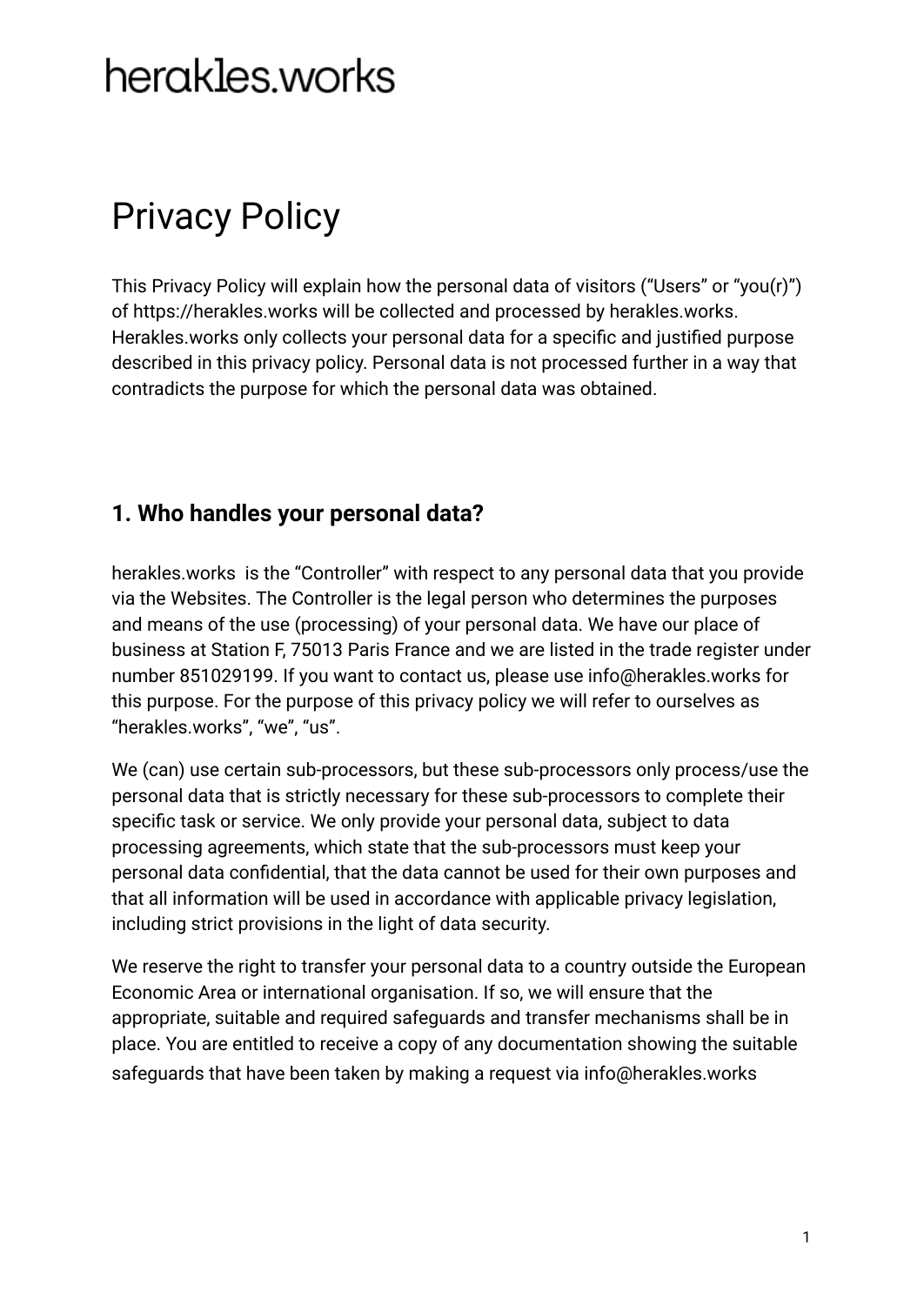# herakles.works

## Privacy Policy

This Privacy Policy will explain how the personal data of visitors ("Users" or "you(r)") of https://herakles.works will be collected and processed by herakles.works. Herakles.works only collects your personal data for a specific and justified purpose described in this privacy policy. Personal data is not processed further in a way that contradicts the purpose for which the personal data was obtained.

### **1. Who handles your personal data?**

herakles.works is the "Controller" with respect to any personal data that you provide via the Websites. The Controller is the legal person who determines the purposes and means of the use (processing) of your personal data. We have our place of business at Station F, 75013 Paris France and we are listed in the trade register under number 851029199. If you want to contact us, please use info@herakles.works for this purpose. For the purpose of this privacy policy we will refer to ourselves as "herakles.works", "we", "us".

We (can) use certain sub-processors, but these sub-processors only process/use the personal data that is strictly necessary for these sub-processors to complete their specific task or service. We only provide your personal data, subject to data processing agreements, which state that the sub-processors must keep your personal data confidential, that the data cannot be used for their own purposes and that all information will be used in accordance with applicable privacy legislation, including strict provisions in the light of data security.

We reserve the right to transfer your personal data to a country outside the European Economic Area or international organisation. If so, we will ensure that the appropriate, suitable and required safeguards and transfer mechanisms shall be in place. You are entitled to receive a copy of any documentation showing the suitable safeguards that have been taken by making a request via info@herakles.works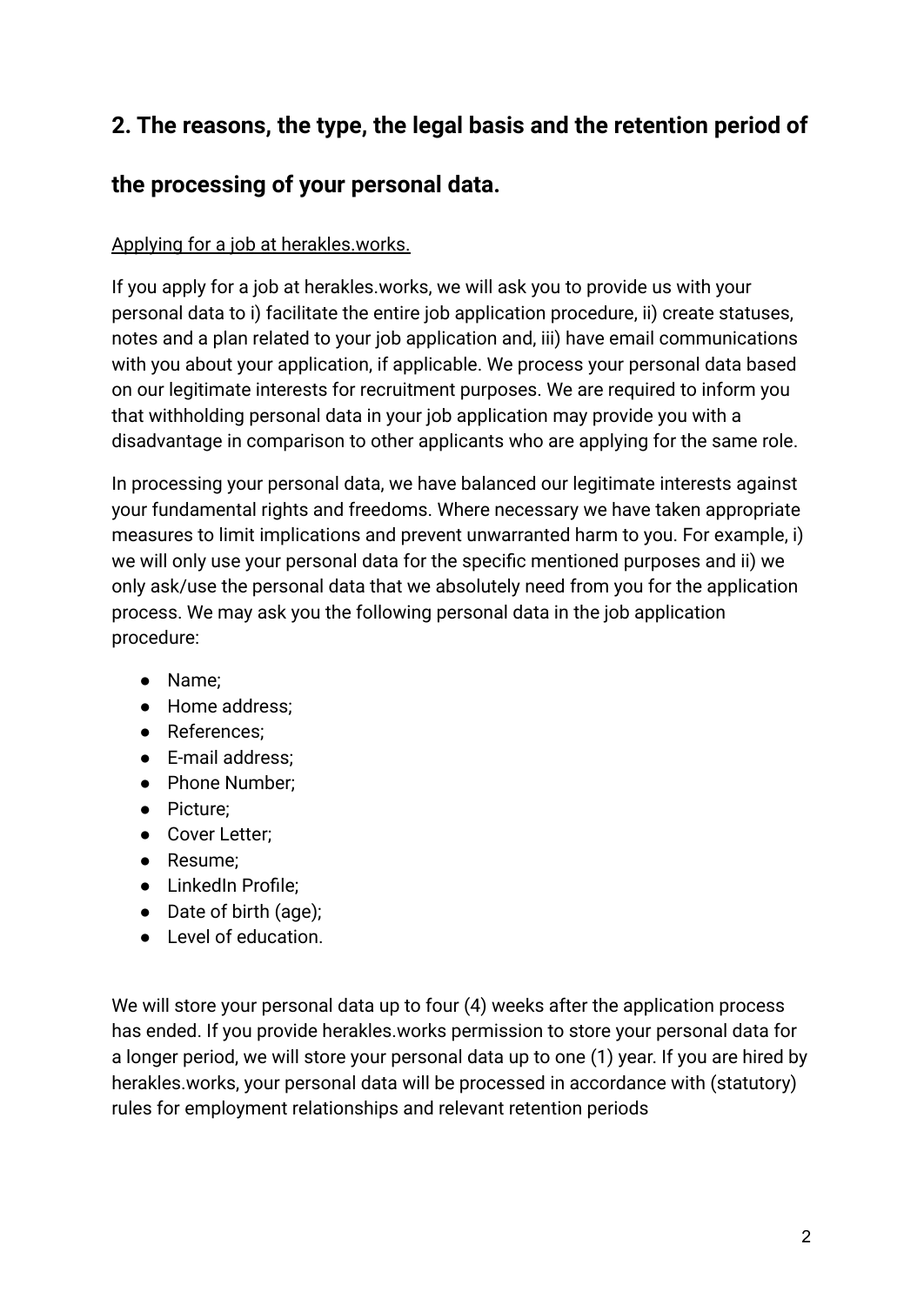## **2. The reasons, the type, the legal basis and the retention period of**

## **the processing of your personal data.**

#### Applying for a job at herakles.works.

If you apply for a job at herakles.works, we will ask you to provide us with your personal data to i) facilitate the entire job application procedure, ii) create statuses, notes and a plan related to your job application and, iii) have email communications with you about your application, if applicable. We process your personal data based on our legitimate interests for recruitment purposes. We are required to inform you that withholding personal data in your job application may provide you with a disadvantage in comparison to other applicants who are applying for the same role.

In processing your personal data, we have balanced our legitimate interests against your fundamental rights and freedoms. Where necessary we have taken appropriate measures to limit implications and prevent unwarranted harm to you. For example, i) we will only use your personal data for the specific mentioned purposes and ii) we only ask/use the personal data that we absolutely need from you for the application process. We may ask you the following personal data in the job application procedure:

- Name;
- Home address;
- References;
- E-mail address;
- Phone Number;
- Picture;
- Cover Letter;
- Resume;
- LinkedIn Profile;
- Date of birth (age);
- Level of education.

We will store your personal data up to four (4) weeks after the application process has ended. If you provide herakles.works permission to store your personal data for a longer period, we will store your personal data up to one (1) year. If you are hired by herakles.works, your personal data will be processed in accordance with (statutory) rules for employment relationships and relevant retention periods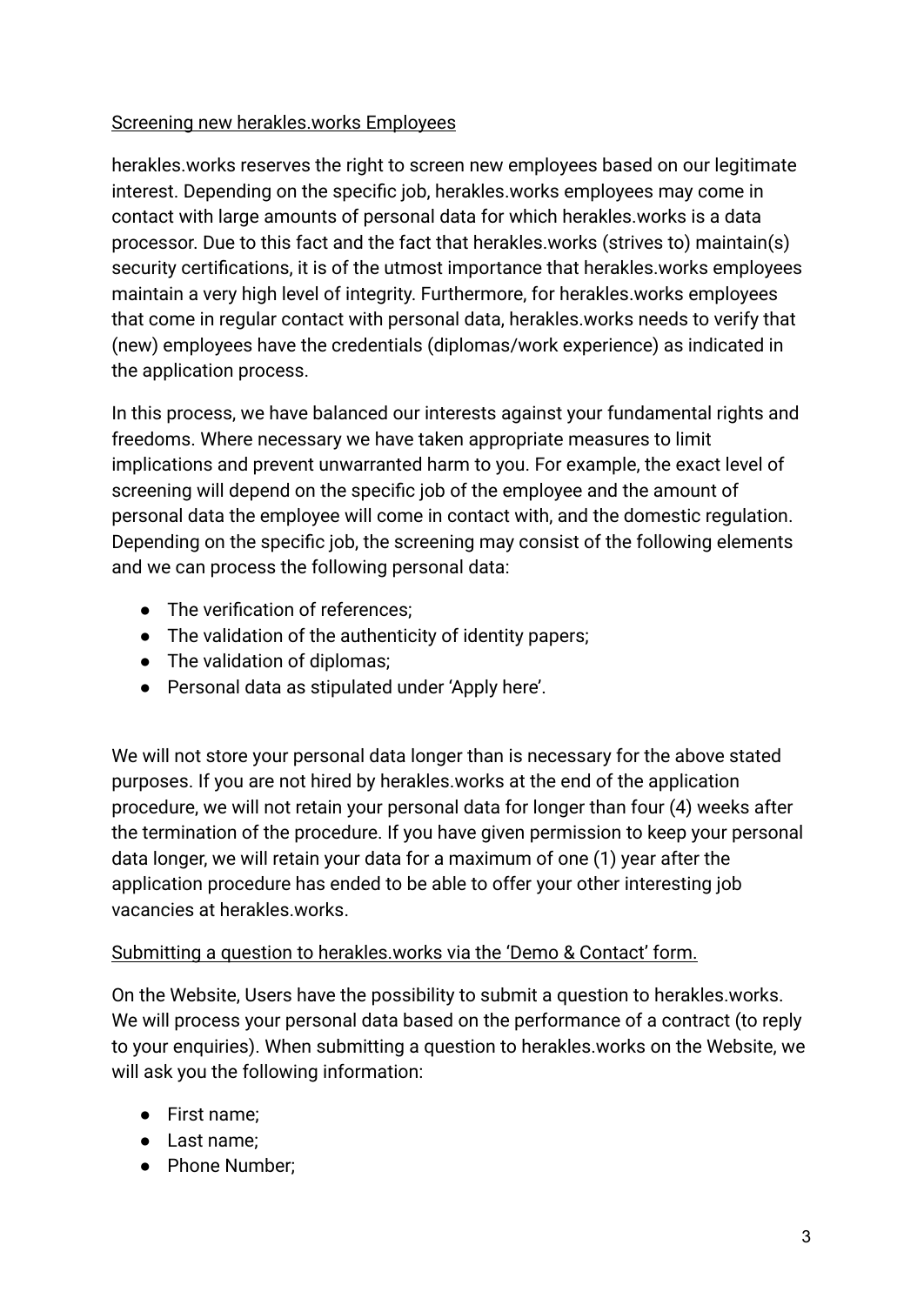#### Screening new herakles.works Employees

herakles.works reserves the right to screen new employees based on our legitimate interest. Depending on the specific job, herakles.works employees may come in contact with large amounts of personal data for which herakles.works is a data processor. Due to this fact and the fact that herakles.works (strives to) maintain(s) security certifications, it is of the utmost importance that herakles.works employees maintain a very high level of integrity. Furthermore, for herakles.works employees that come in regular contact with personal data, herakles.works needs to verify that (new) employees have the credentials (diplomas/work experience) as indicated in the application process.

In this process, we have balanced our interests against your fundamental rights and freedoms. Where necessary we have taken appropriate measures to limit implications and prevent unwarranted harm to you. For example, the exact level of screening will depend on the specific job of the employee and the amount of personal data the employee will come in contact with, and the domestic regulation. Depending on the specific job, the screening may consist of the following elements and we can process the following personal data:

- The verification of references;
- The validation of the authenticity of identity papers;
- The validation of diplomas;
- Personal data as stipulated under 'Apply here'.

We will not store your personal data longer than is necessary for the above stated purposes. If you are not hired by herakles.works at the end of the application procedure, we will not retain your personal data for longer than four (4) weeks after the termination of the procedure. If you have given permission to keep your personal data longer, we will retain your data for a maximum of one (1) year after the application procedure has ended to be able to offer your other interesting job vacancies at herakles works.

#### Submitting a question to herakles.works via the 'Demo & Contact' form.

On the Website, Users have the possibility to submit a question to herakles.works. We will process your personal data based on the performance of a contract (to reply to your enquiries). When submitting a question to herakles.works on the Website, we will ask you the following information:

- First name;
- Last name;
- Phone Number;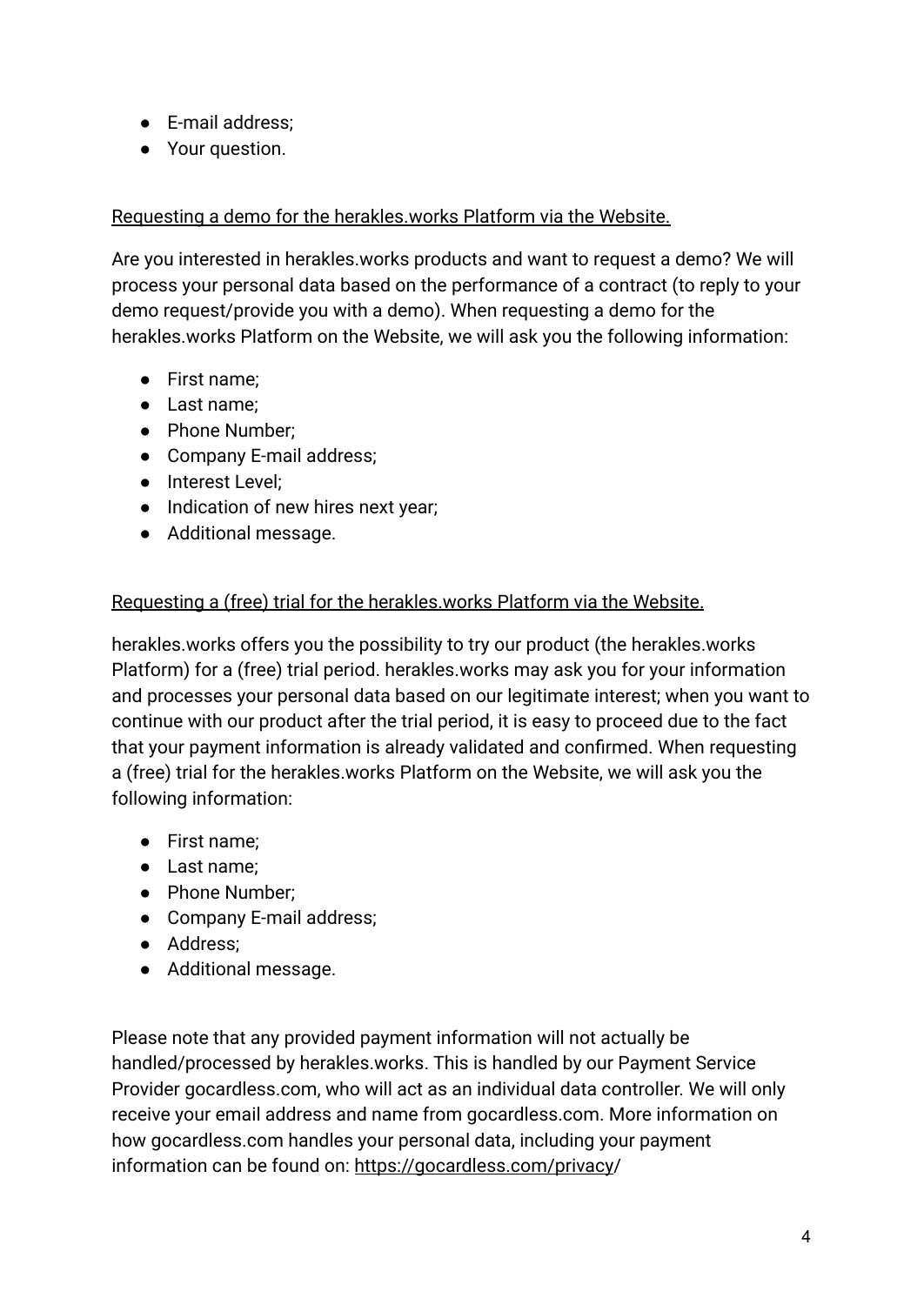- E-mail address;
- Your question.

#### Requesting a demo for the herakles.works Platform via the Website.

Are you interested in herakles.works products and want to request a demo? We will process your personal data based on the performance of a contract (to reply to your demo request/provide you with a demo). When requesting a demo for the herakles.works Platform on the Website, we will ask you the following information:

- First name;
- Last name;
- Phone Number:
- Company E-mail address;
- Interest Level;
- Indication of new hires next year;
- Additional message.

#### Requesting a (free) trial for the herakles.works Platform via the Website.

herakles.works offers you the possibility to try our product (the herakles.works Platform) for a (free) trial period. herakles.works may ask you for your information and processes your personal data based on our legitimate interest; when you want to continue with our product after the trial period, it is easy to proceed due to the fact that your payment information is already validated and confirmed. When requesting a (free) trial for the herakles.works Platform on the Website, we will ask you the following information:

- First name;
- Last name;
- Phone Number:
- Company E-mail address;
- Address;
- Additional message.

Please note that any provided payment information will not actually be handled/processed by herakles.works. This is handled by our Payment Service Provider gocardless.com, who will act as an individual data controller. We will only receive your email address and name from gocardless.com. More information on how gocardless.com handles your personal data, including your payment information can be found on: [https://gocardless.com/privacy/](https://gocardless.com/privacy)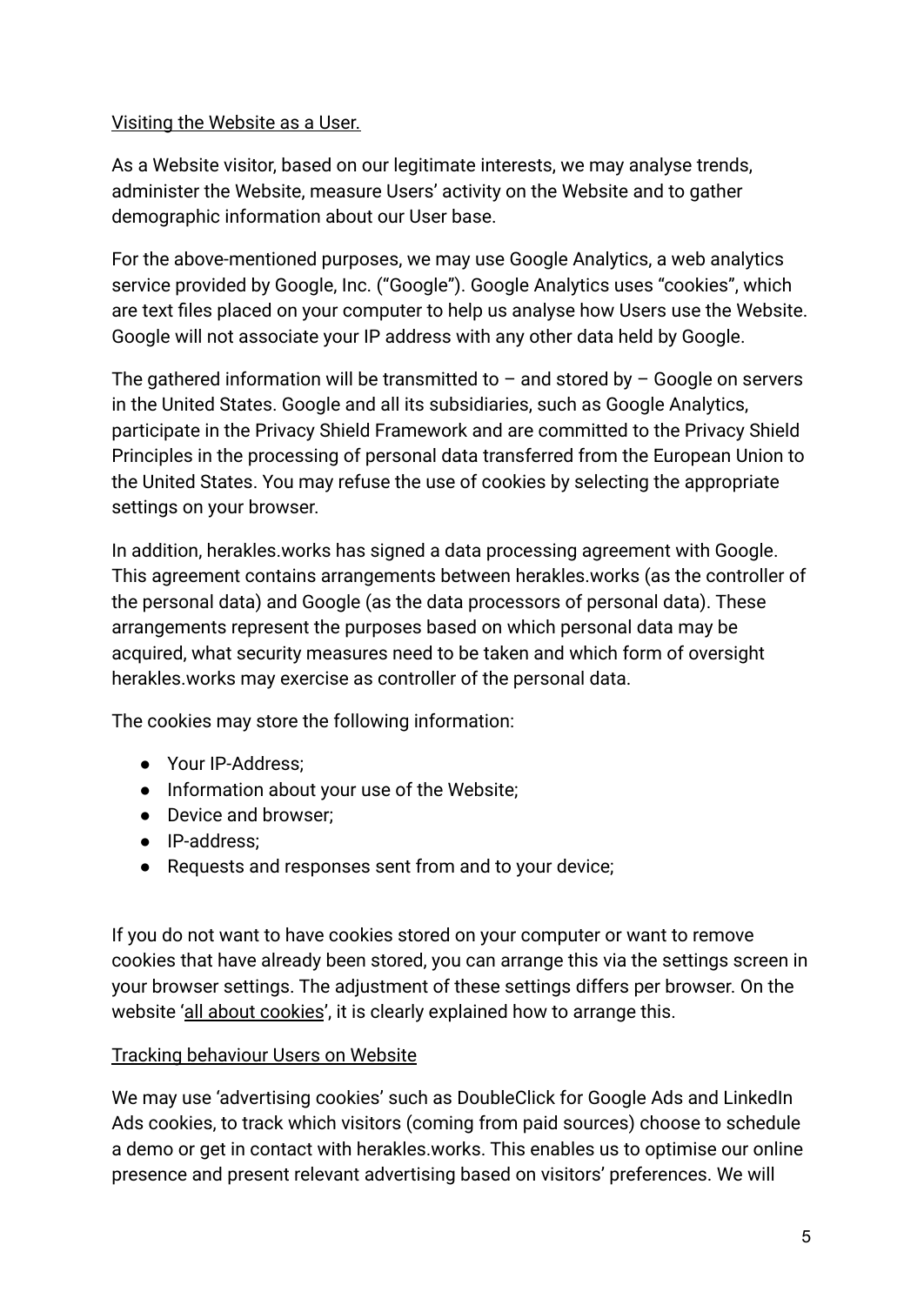#### Visiting the Website as a User.

As a Website visitor, based on our legitimate interests, we may analyse trends, administer the Website, measure Users' activity on the Website and to gather demographic information about our User base.

For the above-mentioned purposes, we may use Google Analytics, a web analytics service provided by Google, Inc. ("Google"). Google Analytics uses "cookies", which are text files placed on your computer to help us analyse how Users use the Website. Google will not associate your IP address with any other data held by Google.

The gathered information will be transmitted to  $-$  and stored by  $-$  Google on servers in the United States. Google and all its subsidiaries, such as Google Analytics, participate in the Privacy Shield Framework and are committed to the Privacy Shield Principles in the processing of personal data transferred from the European Union to the United States. You may refuse the use of cookies by selecting the appropriate settings on your browser.

In addition, herakles.works has signed a data processing agreement with Google. This agreement contains arrangements between herakles.works (as the controller of the personal data) and Google (as the data processors of personal data). These arrangements represent the purposes based on which personal data may be acquired, what security measures need to be taken and which form of oversight herakles.works may exercise as controller of the personal data.

The cookies may store the following information:

- Your IP-Address:
- Information about your use of the Website;
- Device and browser:
- IP-address;
- Requests and responses sent from and to your device;

If you do not want to have cookies stored on your computer or want to remove cookies that have already been stored, you can arrange this via the settings screen in your browser settings. The adjustment of these settings differs per browser. On the website '[all about cookies](http://www.allaboutcookies.org/)', it is clearly explained how to arrange this.

#### Tracking behaviour Users on Website

We may use 'advertising cookies' such as DoubleClick for Google Ads and LinkedIn Ads cookies, to track which visitors (coming from paid sources) choose to schedule a demo or get in contact with herakles.works. This enables us to optimise our online presence and present relevant advertising based on visitors' preferences. We will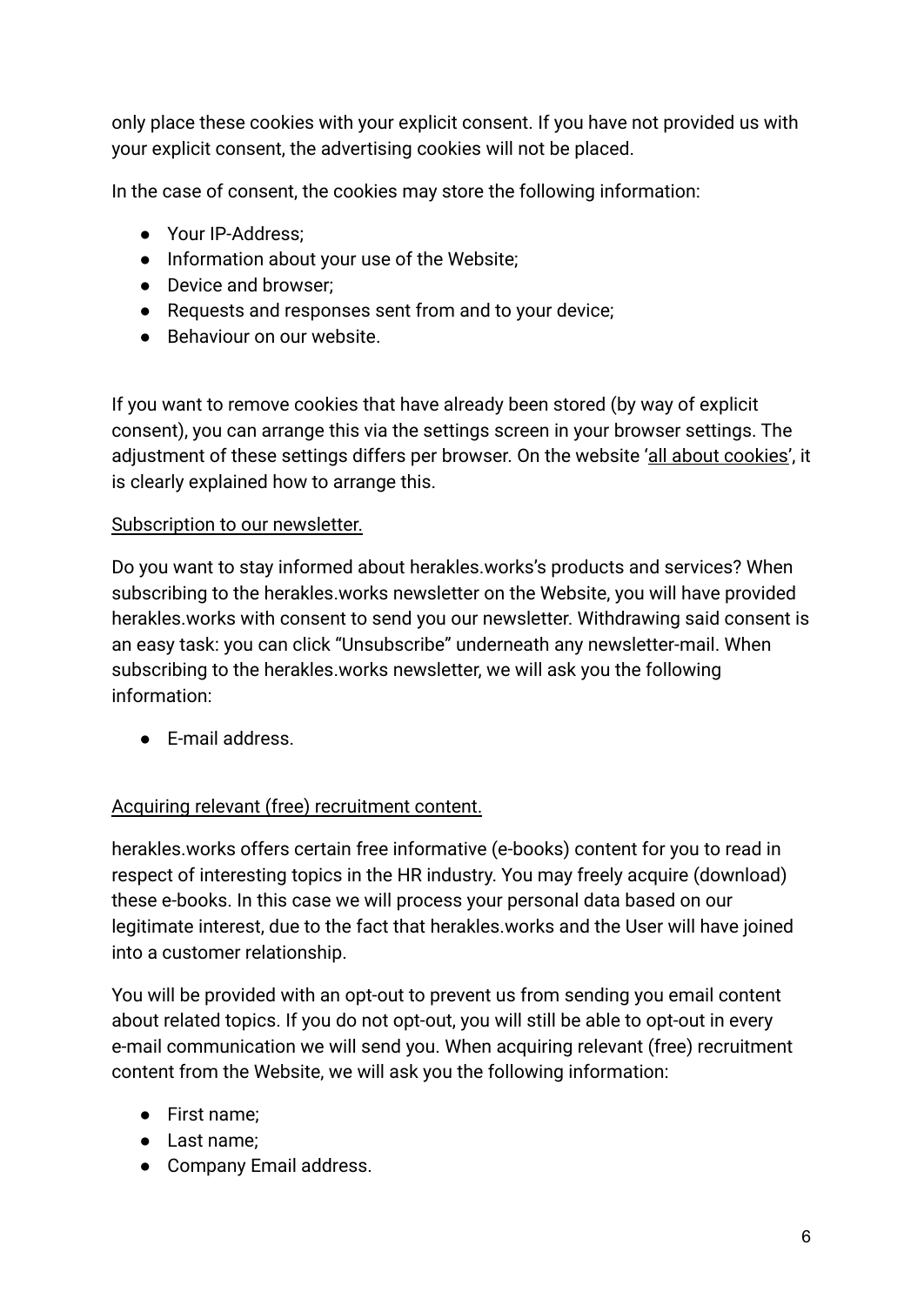only place these cookies with your explicit consent. If you have not provided us with your explicit consent, the advertising cookies will not be placed.

In the case of consent, the cookies may store the following information:

- Your IP-Address:
- Information about your use of the Website;
- Device and browser:
- Requests and responses sent from and to your device;
- Behaviour on our website.

If you want to remove cookies that have already been stored (by way of explicit consent), you can arrange this via the settings screen in your browser settings. The adjustment of these settings differs per browser. On the website ['all about cookies'](http://www.allaboutcookies.org/), it is clearly explained how to arrange this.

#### Subscription to our newsletter.

Do you want to stay informed about herakles.works's products and services? When subscribing to the herakles.works newsletter on the Website, you will have provided herakles.works with consent to send you our newsletter. Withdrawing said consent is an easy task: you can click "Unsubscribe" underneath any newsletter-mail. When subscribing to the herakles.works newsletter, we will ask you the following information:

● E-mail address.

#### Acquiring relevant (free) recruitment content.

herakles.works offers certain free informative (e-books) content for you to read in respect of interesting topics in the HR industry. You may freely acquire (download) these e-books. In this case we will process your personal data based on our legitimate interest, due to the fact that herakles.works and the User will have joined into a customer relationship.

You will be provided with an opt-out to prevent us from sending you email content about related topics. If you do not opt-out, you will still be able to opt-out in every e-mail communication we will send you. When acquiring relevant (free) recruitment content from the Website, we will ask you the following information:

- First name;
- Last name;
- Company Email address.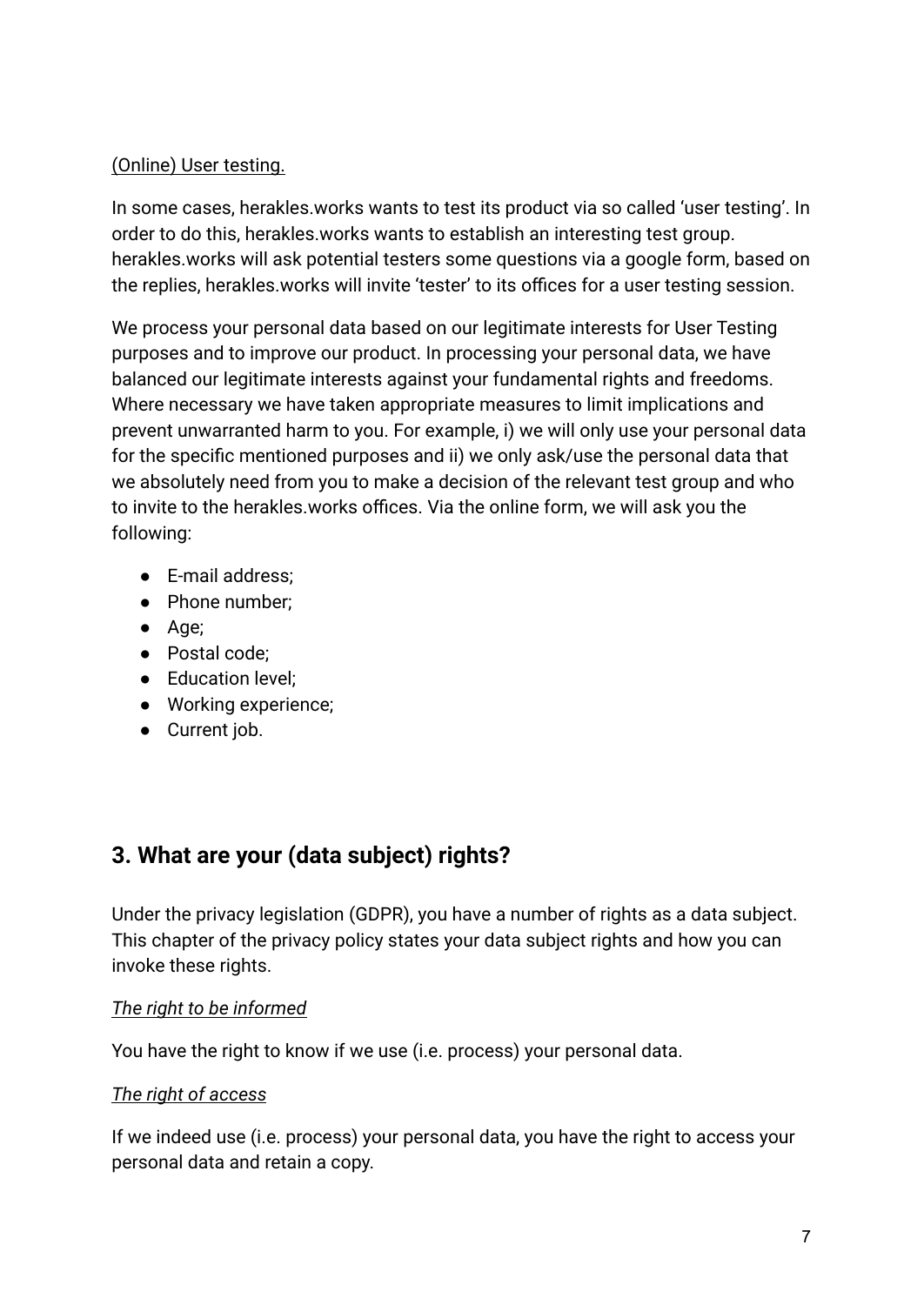#### (Online) User testing.

In some cases, herakles.works wants to test its product via so called 'user testing'. In order to do this, herakles.works wants to establish an interesting test group. herakles.works will ask potential testers some questions via a google form, based on the replies, herakles.works will invite 'tester' to its offices for a user testing session.

We process your personal data based on our legitimate interests for User Testing purposes and to improve our product. In processing your personal data, we have balanced our legitimate interests against your fundamental rights and freedoms. Where necessary we have taken appropriate measures to limit implications and prevent unwarranted harm to you. For example, i) we will only use your personal data for the specific mentioned purposes and ii) we only ask/use the personal data that we absolutely need from you to make a decision of the relevant test group and who to invite to the herakles.works offices. Via the online form, we will ask you the following:

- E-mail address;
- Phone number;
- Age;
- Postal code;
- Education level;
- Working experience;
- Current job.

## **3. What are your (data subject) rights?**

Under the privacy legislation (GDPR), you have a number of rights as a data subject. This chapter of the privacy policy states your data subject rights and how you can invoke these rights.

#### *The right to be informed*

You have the right to know if we use (i.e. process) your personal data.

#### *The right of access*

If we indeed use (i.e. process) your personal data, you have the right to access your personal data and retain a copy.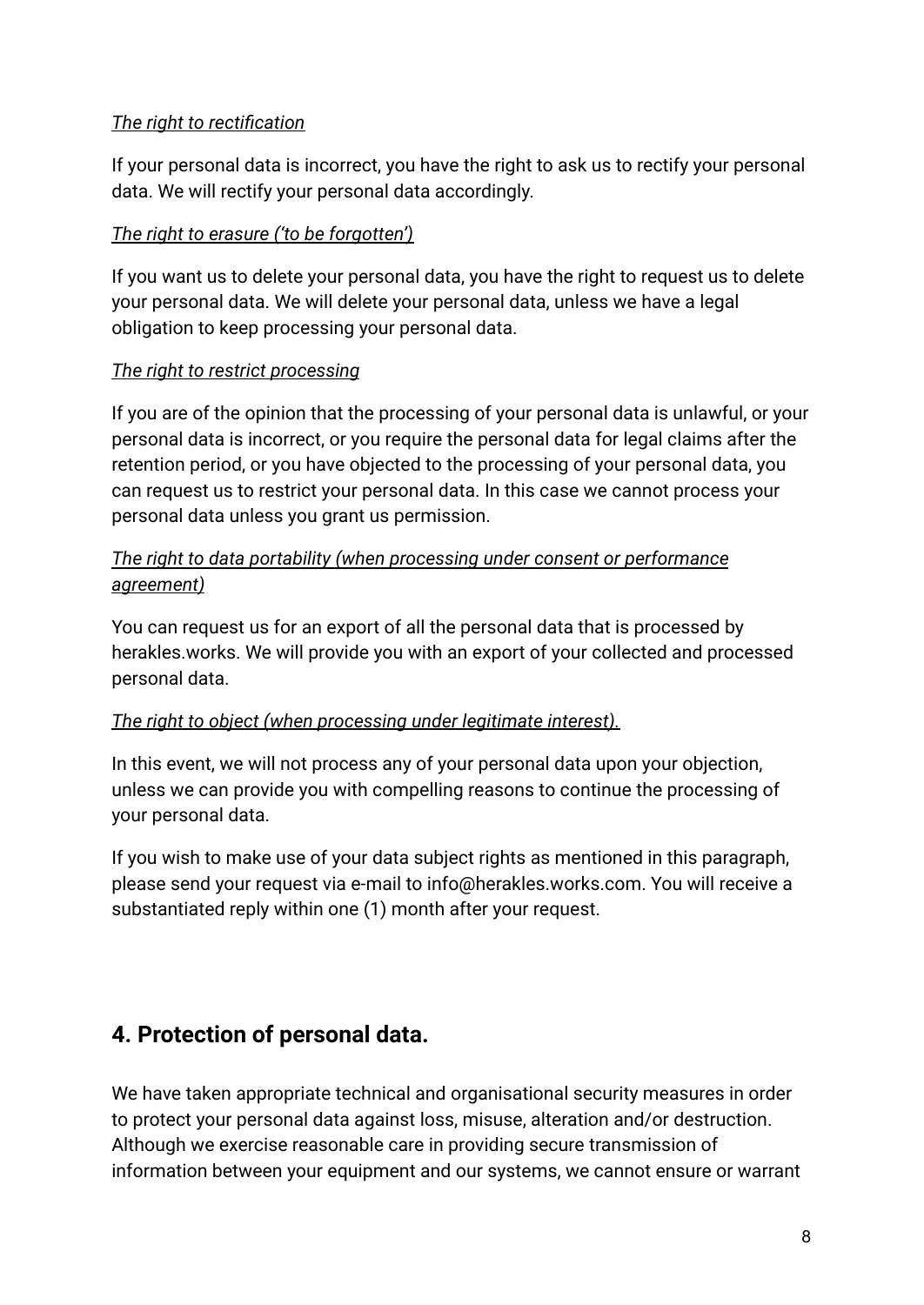#### *The right to rectification*

If your personal data is incorrect, you have the right to ask us to rectify your personal data. We will rectify your personal data accordingly.

#### *The right to erasure ('to be forgotten')*

If you want us to delete your personal data, you have the right to request us to delete your personal data. We will delete your personal data, unless we have a legal obligation to keep processing your personal data.

#### *The right to restrict processing*

If you are of the opinion that the processing of your personal data is unlawful, or your personal data is incorrect, or you require the personal data for legal claims after the retention period, or you have objected to the processing of your personal data, you can request us to restrict your personal data. In this case we cannot process your personal data unless you grant us permission.

#### *The right to data portability (when processing under consent or performance agreement)*

You can request us for an export of all the personal data that is processed by herakles.works. We will provide you with an export of your collected and processed personal data.

#### *The right to object (when processing under legitimate interest).*

In this event, we will not process any of your personal data upon your objection, unless we can provide you with compelling reasons to continue the processing of your personal data.

If you wish to make use of your data subject rights as mentioned in this paragraph, please send your request via e-mail to info@herakles.works.com. You will receive a substantiated reply within one (1) month after your request.

## **4. Protection of personal data.**

We have taken appropriate technical and organisational security measures in order to protect your personal data against loss, misuse, alteration and/or destruction. Although we exercise reasonable care in providing secure transmission of information between your equipment and our systems, we cannot ensure or warrant